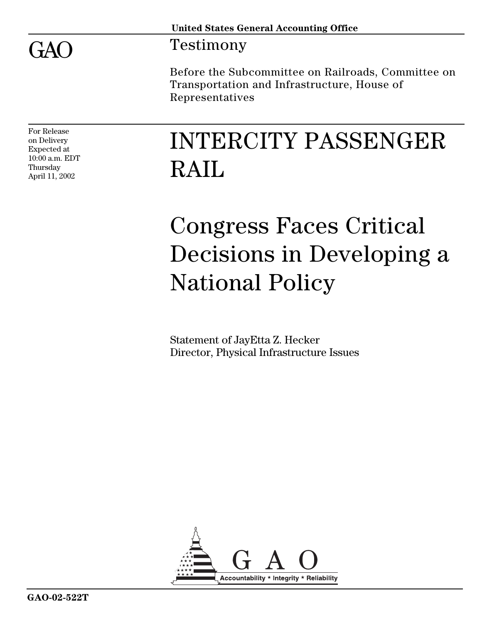GAO

### Testimony

Before the Subcommittee on Railroads, Committee on Transportation and Infrastructure, House of Representatives

For Release on Delivery Expected at 10:00 a.m. EDT Thursday April 11, 2002

# INTERCITY PASSENGER RAIL

# Congress Faces Critical Decisions in Developing a National Policy

Statement of JayEtta Z. Hecker Director, Physical Infrastructure Issues

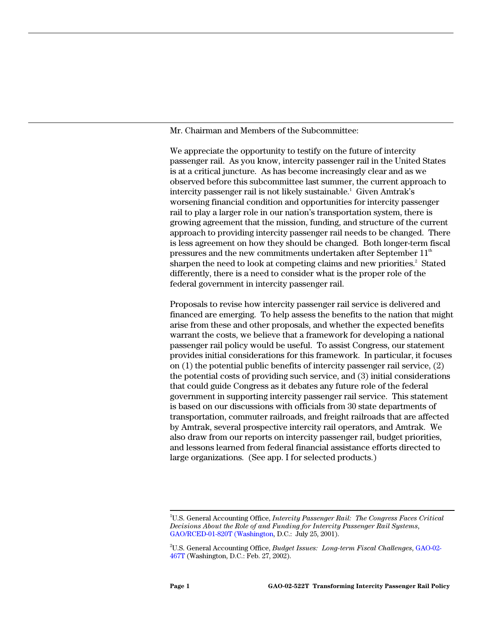Mr. Chairman and Members of the Subcommittee:

We appreciate the opportunity to testify on the future of intercity passenger rail. As you know, intercity passenger rail in the United States is at a critical juncture. As has become increasingly clear and as we observed before this subcommittee last summer, the current approach to intercity passenger rail is not likely sustainable.<sup>1</sup> Given Amtrak's worsening financial condition and opportunities for intercity passenger rail to play a larger role in our nation's transportation system, there is growing agreement that the mission, funding, and structure of the current approach to providing intercity passenger rail needs to be changed. There is less agreement on how they should be changed. Both longer-term fiscal pressures and the new commitments undertaken after September  $11<sup>th</sup>$ sharpen the need to look at competing claims and new priorities.<sup>2</sup> Stated differently, there is a need to consider what is the proper role of the federal government in intercity passenger rail.

Proposals to revise how intercity passenger rail service is delivered and financed are emerging. To help assess the benefits to the nation that might arise from these and other proposals, and whether the expected benefits warrant the costs, we believe that a framework for developing a national passenger rail policy would be useful. To assist Congress, our statement provides initial considerations for this framework. In particular, it focuses on (1) the potential public benefits of intercity passenger rail service, (2) the potential costs of providing such service, and (3) initial considerations that could guide Congress as it debates any future role of the federal government in supporting intercity passenger rail service. This statement is based on our discussions with officials from 30 state departments of transportation, commuter railroads, and freight railroads that are affected by Amtrak, several prospective intercity rail operators, and Amtrak. We also draw from our reports on intercity passenger rail, budget priorities, and lessons learned from federal financial assistance efforts directed to large organizations. (See app. I for selected products.)

<sup>|&</sup>lt;br>1 U.S. General Accounting Office, *Intercity Passenger Rail: The Congress Faces Critical Decisions About the Role of and Funding for Intercity Passenger Rail Systems*, GAO/RCED-01-820T (Washington, D.C.: July 25, 2001).

<sup>2</sup> U.S. General Accounting Office, *Budget Issues: Long-term Fiscal Challenges*, GAO-02- 467T (Washington, D.C.: Feb. 27, 2002).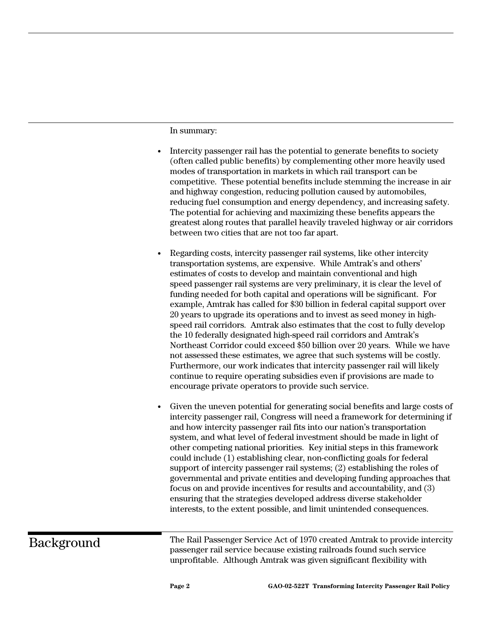In summary:

- Intercity passenger rail has the potential to generate benefits to society (often called public benefits) by complementing other more heavily used modes of transportation in markets in which rail transport can be competitive. These potential benefits include stemming the increase in air and highway congestion, reducing pollution caused by automobiles, reducing fuel consumption and energy dependency, and increasing safety. The potential for achieving and maximizing these benefits appears the greatest along routes that parallel heavily traveled highway or air corridors between two cities that are not too far apart.
- Regarding costs, intercity passenger rail systems, like other intercity transportation systems, are expensive. While Amtrak's and others' estimates of costs to develop and maintain conventional and high speed passenger rail systems are very preliminary, it is clear the level of funding needed for both capital and operations will be significant. For example, Amtrak has called for \$30 billion in federal capital support over 20 years to upgrade its operations and to invest as seed money in highspeed rail corridors. Amtrak also estimates that the cost to fully develop the 10 federally designated high-speed rail corridors and Amtrak's Northeast Corridor could exceed \$50 billion over 20 years. While we have not assessed these estimates, we agree that such systems will be costly. Furthermore, our work indicates that intercity passenger rail will likely continue to require operating subsidies even if provisions are made to encourage private operators to provide such service.
- Given the uneven potential for generating social benefits and large costs of intercity passenger rail, Congress will need a framework for determining if and how intercity passenger rail fits into our nation's transportation system, and what level of federal investment should be made in light of other competing national priorities. Key initial steps in this framework could include (1) establishing clear, non-conflicting goals for federal support of intercity passenger rail systems; (2) establishing the roles of governmental and private entities and developing funding approaches that focus on and provide incentives for results and accountability, and (3) ensuring that the strategies developed address diverse stakeholder interests, to the extent possible, and limit unintended consequences.

Background

The Rail Passenger Service Act of 1970 created Amtrak to provide intercity passenger rail service because existing railroads found such service unprofitable. Although Amtrak was given significant flexibility with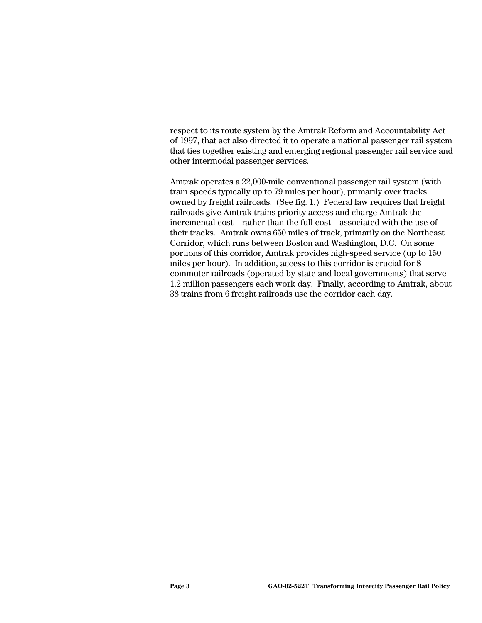respect to its route system by the Amtrak Reform and Accountability Act of 1997, that act also directed it to operate a national passenger rail system that ties together existing and emerging regional passenger rail service and other intermodal passenger services.

Amtrak operates a 22,000-mile conventional passenger rail system (with train speeds typically up to 79 miles per hour), primarily over tracks owned by freight railroads. (See fig. 1.) Federal law requires that freight railroads give Amtrak trains priority access and charge Amtrak the incremental cost—rather than the full cost—associated with the use of their tracks. Amtrak owns 650 miles of track, primarily on the Northeast Corridor, which runs between Boston and Washington, D.C. On some portions of this corridor, Amtrak provides high-speed service (up to 150 miles per hour). In addition, access to this corridor is crucial for 8 commuter railroads (operated by state and local governments) that serve 1.2 million passengers each work day. Finally, according to Amtrak, about 38 trains from 6 freight railroads use the corridor each day.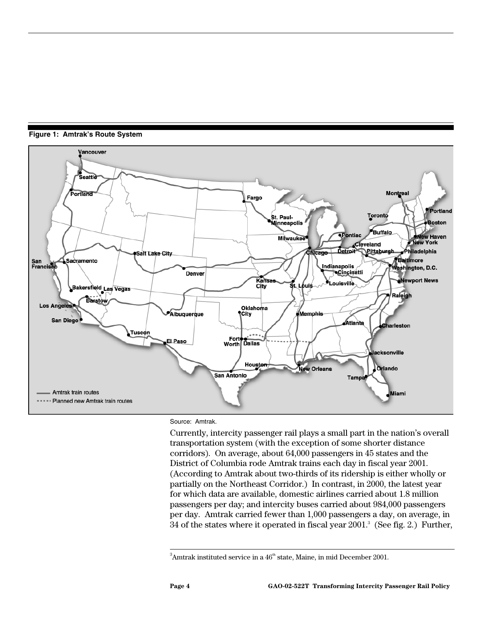

**Figure 1: Amtrak's Route System**

Source: Amtrak.

Currently, intercity passenger rail plays a small part in the nation's overall transportation system (with the exception of some shorter distance corridors). On average, about 64,000 passengers in 45 states and the District of Columbia rode Amtrak trains each day in fiscal year 2001. (According to Amtrak about two-thirds of its ridership is either wholly or partially on the Northeast Corridor.) In contrast, in 2000, the latest year for which data are available, domestic airlines carried about 1.8 million passengers per day; and intercity buses carried about 984,000 passengers per day. Amtrak carried fewer than 1,000 passengers a day, on average, in 34 of the states where it operated in fiscal year 2001.<sup>3</sup> (See fig. 2.) Further,

<sup>-&</sup>lt;br>3 <sup>3</sup>Amtrak instituted service in a  $46<sup>th</sup>$  state, Maine, in mid December 2001.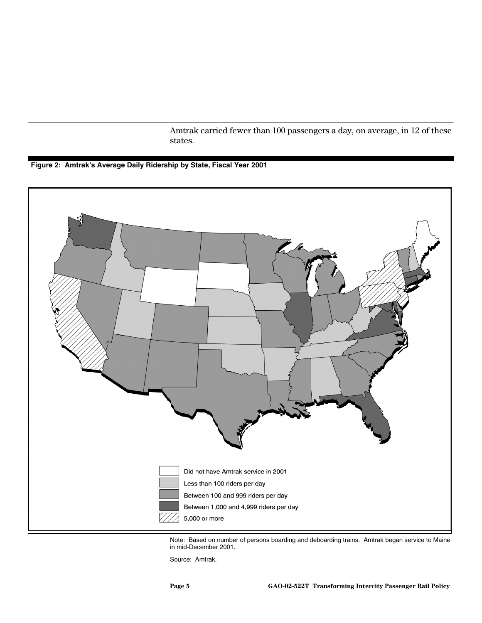Amtrak carried fewer than 100 passengers a day, on average, in 12 of these states.

#### **Figure 2: Amtrak's Average Daily Ridership by State, Fiscal Year 2001**



Note: Based on number of persons boarding and deboarding trains. Amtrak began service to Maine in mid-December 2001.

Source: Amtrak.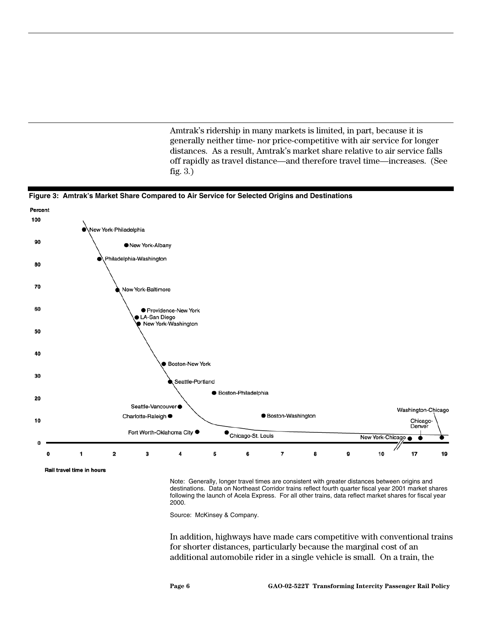Amtrak's ridership in many markets is limited, in part, because it is generally neither time- nor price-competitive with air service for longer distances. As a result, Amtrak's market share relative to air service falls off rapidly as travel distance—and therefore travel time—increases. (See fig. 3.)





Rail travel time in hours

Note: Generally, longer travel times are consistent with greater distances between origins and destinations. Data on Northeast Corridor trains reflect fourth quarter fiscal year 2001 market shares following the launch of Acela Express. For all other trains, data reflect market shares for fiscal year 2000.

Source: McKinsey & Company.

In addition, highways have made cars competitive with conventional trains for shorter distances, particularly because the marginal cost of an additional automobile rider in a single vehicle is small. On a train, the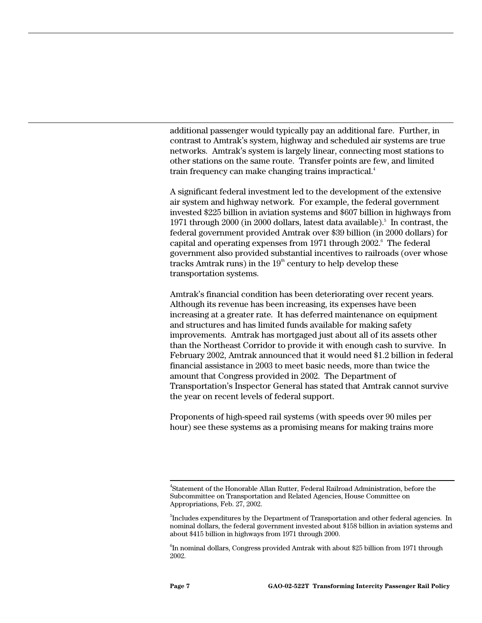additional passenger would typically pay an additional fare. Further, in contrast to Amtrak's system, highway and scheduled air systems are true networks. Amtrak's system is largely linear, connecting most stations to other stations on the same route. Transfer points are few, and limited train frequency can make changing trains impractical.<sup>4</sup>

A significant federal investment led to the development of the extensive air system and highway network. For example, the federal government invested \$225 billion in aviation systems and \$607 billion in highways from 1971 through 2000 (in 2000 dollars, latest data available).<sup>5</sup> In contrast, the federal government provided Amtrak over \$39 billion (in 2000 dollars) for capital and operating expenses from 1971 through 2002.<sup>6</sup> The federal government also provided substantial incentives to railroads (over whose tracks Amtrak runs) in the  $19<sup>th</sup>$  century to help develop these transportation systems.

Amtrak's financial condition has been deteriorating over recent years. Although its revenue has been increasing, its expenses have been increasing at a greater rate. It has deferred maintenance on equipment and structures and has limited funds available for making safety improvements. Amtrak has mortgaged just about all of its assets other than the Northeast Corridor to provide it with enough cash to survive. In February 2002, Amtrak announced that it would need \$1.2 billion in federal financial assistance in 2003 to meet basic needs, more than twice the amount that Congress provided in 2002. The Department of Transportation's Inspector General has stated that Amtrak cannot survive the year on recent levels of federal support.

Proponents of high-speed rail systems (with speeds over 90 miles per hour) see these systems as a promising means for making trains more

<sup>-&</sup>lt;br>4 Statement of the Honorable Allan Rutter, Federal Railroad Administration, before the Subcommittee on Transportation and Related Agencies, House Committee on Appropriations, Feb. 27, 2002.

 $^5$ Includes expenditures by the Department of Transportation and other federal agencies. In nominal dollars, the federal government invested about \$158 billion in aviation systems and about \$415 billion in highways from 1971 through 2000.

 $^6$ In nominal dollars, Congress provided Amtrak with about \$25 billion from 1971 through 2002.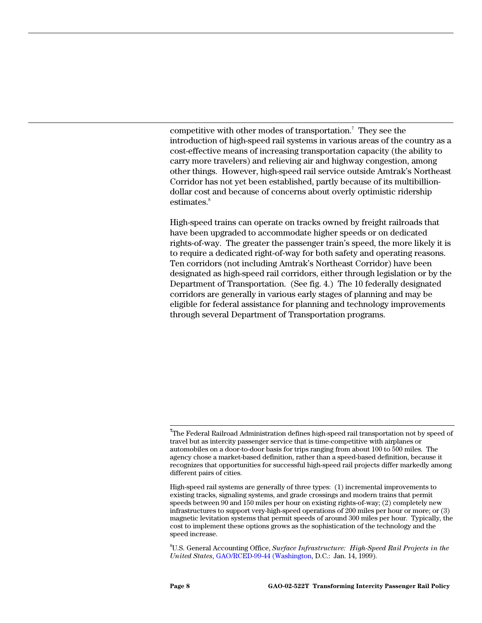competitive with other modes of transportation.<sup>7</sup> They see the introduction of high-speed rail systems in various areas of the country as a cost-effective means of increasing transportation capacity (the ability to carry more travelers) and relieving air and highway congestion, among other things. However, high-speed rail service outside Amtrak's Northeast Corridor has not yet been established, partly because of its multibilliondollar cost and because of concerns about overly optimistic ridership estimates.<sup>8</sup>

High-speed trains can operate on tracks owned by freight railroads that have been upgraded to accommodate higher speeds or on dedicated rights-of-way. The greater the passenger train's speed, the more likely it is to require a dedicated right-of-way for both safety and operating reasons. Ten corridors (not including Amtrak's Northeast Corridor) have been designated as high-speed rail corridors, either through legislation or by the Department of Transportation. (See fig. 4.) The 10 federally designated corridors are generally in various early stages of planning and may be eligible for federal assistance for planning and technology improvements through several Department of Transportation programs.

8 U.S. General Accounting Office, *Surface Infrastructure: High-Speed Rail Projects in the United States*, GAO/RCED-99-44 (Washington, D.C.: Jan. 14, 1999).

**7** The Federal Railroad Administration defines high-speed rail transportation not by speed of travel but as intercity passenger service that is time-competitive with airplanes or automobiles on a door-to-door basis for trips ranging from about 100 to 500 miles. The agency chose a market-based definition, rather than a speed-based definition, because it recognizes that opportunities for successful high-speed rail projects differ markedly among different pairs of cities.

High-speed rail systems are generally of three types: (1) incremental improvements to existing tracks, signaling systems, and grade crossings and modern trains that permit speeds between 90 and 150 miles per hour on existing rights-of-way; (2) completely new infrastructures to support very-high-speed operations of 200 miles per hour or more; or (3) magnetic levitation systems that permit speeds of around 300 miles per hour. Typically, the cost to implement these options grows as the sophistication of the technology and the speed increase.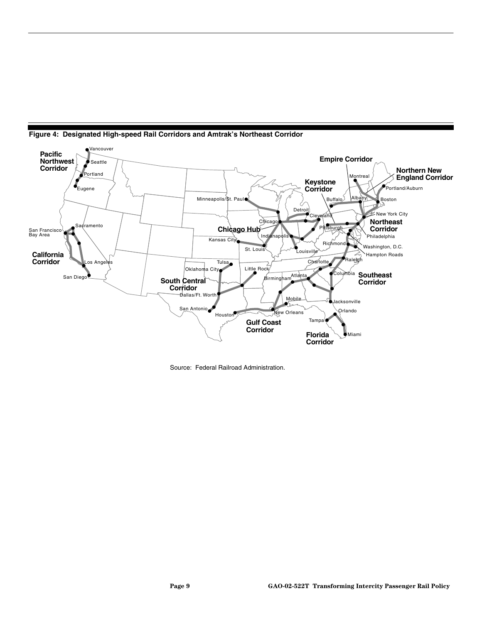

**Figure 4: Designated High-speed Rail Corridors and Amtrak's Northeast Corridor**

Source: Federal Railroad Administration.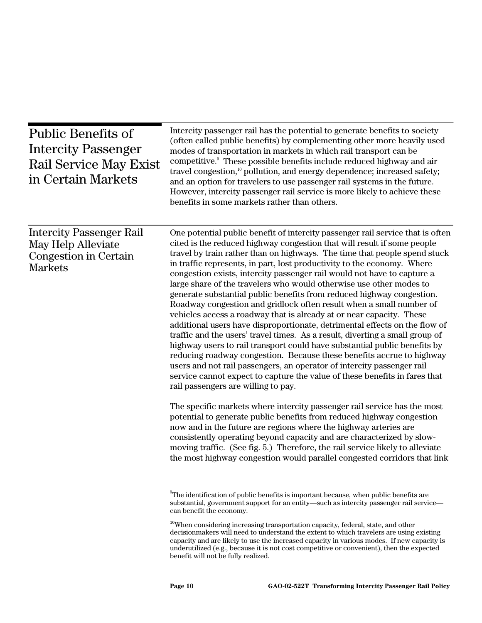| <b>Public Benefits of</b><br><b>Intercity Passenger</b><br>Rail Service May Exist<br>in Certain Markets | Intercity passenger rail has the potential to generate benefits to society<br>(often called public benefits) by complementing other more heavily used<br>modes of transportation in markets in which rail transport can be<br>competitive. <sup>9</sup> These possible benefits include reduced highway and air<br>travel congestion, <sup>10</sup> pollution, and energy dependence; increased safety;<br>and an option for travelers to use passenger rail systems in the future.<br>However, intercity passenger rail service is more likely to achieve these<br>benefits in some markets rather than others.                                                                                                                                                                                                                                                                                                                                                                                                                                                                                                                                                                                                                                                                                                                                                                                                                                                                                                                                                                                                                                                              |
|---------------------------------------------------------------------------------------------------------|-------------------------------------------------------------------------------------------------------------------------------------------------------------------------------------------------------------------------------------------------------------------------------------------------------------------------------------------------------------------------------------------------------------------------------------------------------------------------------------------------------------------------------------------------------------------------------------------------------------------------------------------------------------------------------------------------------------------------------------------------------------------------------------------------------------------------------------------------------------------------------------------------------------------------------------------------------------------------------------------------------------------------------------------------------------------------------------------------------------------------------------------------------------------------------------------------------------------------------------------------------------------------------------------------------------------------------------------------------------------------------------------------------------------------------------------------------------------------------------------------------------------------------------------------------------------------------------------------------------------------------------------------------------------------------|
| <b>Intercity Passenger Rail</b><br>May Help Alleviate<br>Congestion in Certain<br><b>Markets</b>        | One potential public benefit of intercity passenger rail service that is often<br>cited is the reduced highway congestion that will result if some people<br>travel by train rather than on highways. The time that people spend stuck<br>in traffic represents, in part, lost productivity to the economy. Where<br>congestion exists, intercity passenger rail would not have to capture a<br>large share of the travelers who would otherwise use other modes to<br>generate substantial public benefits from reduced highway congestion.<br>Roadway congestion and gridlock often result when a small number of<br>vehicles access a roadway that is already at or near capacity. These<br>additional users have disproportionate, detrimental effects on the flow of<br>traffic and the users' travel times. As a result, diverting a small group of<br>highway users to rail transport could have substantial public benefits by<br>reducing roadway congestion. Because these benefits accrue to highway<br>users and not rail passengers, an operator of intercity passenger rail<br>service cannot expect to capture the value of these benefits in fares that<br>rail passengers are willing to pay.<br>The specific markets where intercity passenger rail service has the most<br>potential to generate public benefits from reduced highway congestion<br>now and in the future are regions where the highway arteries are<br>consistently operating beyond capacity and are characterized by slow-<br>moving traffic. (See fig. 5.) Therefore, the rail service likely to alleviate<br>the most highway congestion would parallel congested corridors that link |
|                                                                                                         | <sup>9</sup> The identification of public benefits is important because, when public benefits are<br>substantial, government support for an entity—such as intercity passenger rail service—<br>can benefit the economy.                                                                                                                                                                                                                                                                                                                                                                                                                                                                                                                                                                                                                                                                                                                                                                                                                                                                                                                                                                                                                                                                                                                                                                                                                                                                                                                                                                                                                                                      |

**<sup>10</sup>**When considering increasing transportation capacity, federal, state, and other decisionmakers will need to understand the extent to which travelers are using existing capacity and are likely to use the increased capacity in various modes. If new capacity is underutilized (e.g., because it is not cost competitive or convenient), then the expected benefit will not be fully realized.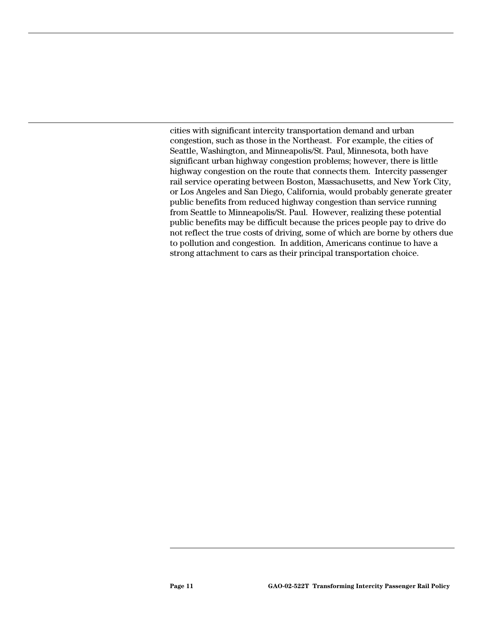cities with significant intercity transportation demand and urban congestion, such as those in the Northeast. For example, the cities of Seattle, Washington, and Minneapolis/St. Paul, Minnesota, both have significant urban highway congestion problems; however, there is little highway congestion on the route that connects them. Intercity passenger rail service operating between Boston, Massachusetts, and New York City, or Los Angeles and San Diego, California, would probably generate greater public benefits from reduced highway congestion than service running from Seattle to Minneapolis/St. Paul. However, realizing these potential public benefits may be difficult because the prices people pay to drive do not reflect the true costs of driving, some of which are borne by others due to pollution and congestion. In addition, Americans continue to have a strong attachment to cars as their principal transportation choice.

 $\overline{a}$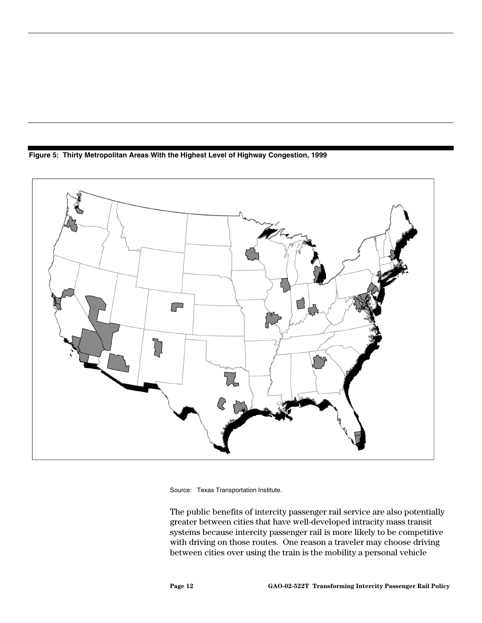**Figure 5: Thirty Metropolitan Areas With the Highest Level of Highway Congestion, 1999**



Source: Texas Transportation Institute.

The public benefits of intercity passenger rail service are also potentially greater between cities that have well-developed intracity mass transit systems because intercity passenger rail is more likely to be competitive with driving on those routes. One reason a traveler may choose driving between cities over using the train is the mobility a personal vehicle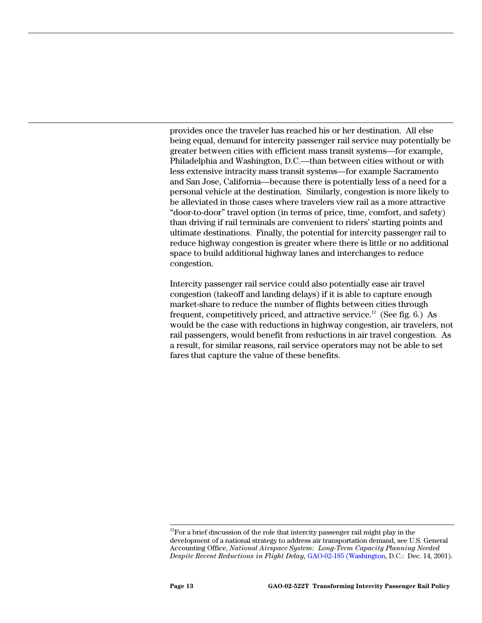provides once the traveler has reached his or her destination. All else being equal, demand for intercity passenger rail service may potentially be greater between cities with efficient mass transit systems—for example, Philadelphia and Washington, D.C.—than between cities without or with less extensive intracity mass transit systems—for example Sacramento and San Jose, California—because there is potentially less of a need for a personal vehicle at the destination. Similarly, congestion is more likely to be alleviated in those cases where travelers view rail as a more attractive "door-to-door" travel option (in terms of price, time, comfort, and safety) than driving if rail terminals are convenient to riders' starting points and ultimate destinations. Finally, the potential for intercity passenger rail to reduce highway congestion is greater where there is little or no additional space to build additional highway lanes and interchanges to reduce congestion.

Intercity passenger rail service could also potentially ease air travel congestion (takeoff and landing delays) if it is able to capture enough market-share to reduce the number of flights between cities through frequent, competitively priced, and attractive service.<sup>12</sup> (See fig. 6.) As would be the case with reductions in highway congestion, air travelers, not rail passengers, would benefit from reductions in air travel congestion. As a result, for similar reasons, rail service operators may not be able to set fares that capture the value of these benefits.

 $12$ For a brief discussion of the role that intercity passenger rail might play in the development of a national strategy to address air transportation demand, see U.S. General Accounting Office, *National Airspace System: Long-Term Capacity Planning Needed Despite Recent Reductions in Flight Delay,* GAO-02-185 (Washington, D.C.: Dec. 14, 2001).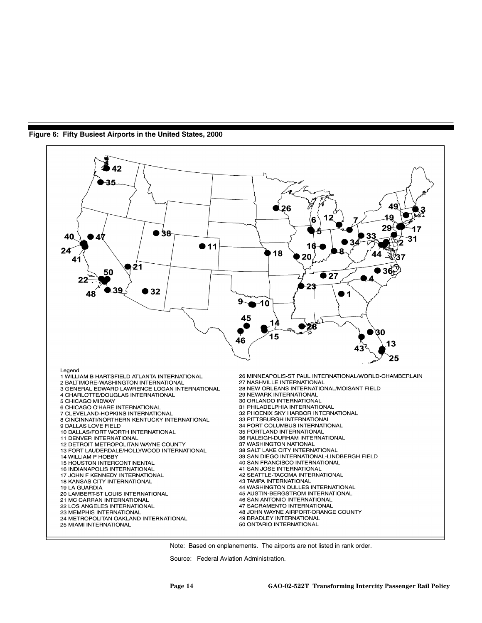

**Figure 6: Fifty Busiest Airports in the United States, 2000**

Note: Based on enplanements. The airports are not listed in rank order.

Source: Federal Aviation Administration.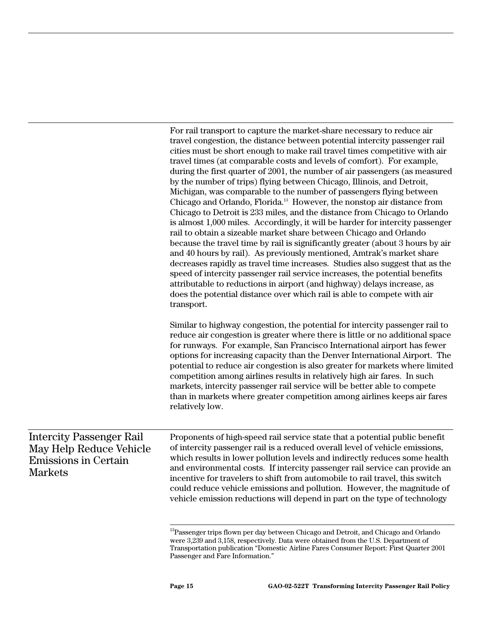|                                                                                                             | For rail transport to capture the market-share necessary to reduce air<br>travel congestion, the distance between potential intercity passenger rail<br>cities must be short enough to make rail travel times competitive with air<br>travel times (at comparable costs and levels of comfort). For example,<br>during the first quarter of 2001, the number of air passengers (as measured<br>by the number of trips) flying between Chicago, Illinois, and Detroit,<br>Michigan, was comparable to the number of passengers flying between<br>Chicago and Orlando, Florida. <sup>13</sup> However, the nonstop air distance from<br>Chicago to Detroit is 233 miles, and the distance from Chicago to Orlando<br>is almost 1,000 miles. Accordingly, it will be harder for intercity passenger<br>rail to obtain a sizeable market share between Chicago and Orlando<br>because the travel time by rail is significantly greater (about 3 hours by air<br>and 40 hours by rail). As previously mentioned, Amtrak's market share<br>decreases rapidly as travel time increases. Studies also suggest that as the<br>speed of intercity passenger rail service increases, the potential benefits<br>attributable to reductions in airport (and highway) delays increase, as<br>does the potential distance over which rail is able to compete with air<br>transport. |
|-------------------------------------------------------------------------------------------------------------|----------------------------------------------------------------------------------------------------------------------------------------------------------------------------------------------------------------------------------------------------------------------------------------------------------------------------------------------------------------------------------------------------------------------------------------------------------------------------------------------------------------------------------------------------------------------------------------------------------------------------------------------------------------------------------------------------------------------------------------------------------------------------------------------------------------------------------------------------------------------------------------------------------------------------------------------------------------------------------------------------------------------------------------------------------------------------------------------------------------------------------------------------------------------------------------------------------------------------------------------------------------------------------------------------------------------------------------------------------------------|
|                                                                                                             | Similar to highway congestion, the potential for intercity passenger rail to<br>reduce air congestion is greater where there is little or no additional space<br>for runways. For example, San Francisco International airport has fewer<br>options for increasing capacity than the Denver International Airport. The<br>potential to reduce air congestion is also greater for markets where limited<br>competition among airlines results in relatively high air fares. In such<br>markets, intercity passenger rail service will be better able to compete<br>than in markets where greater competition among airlines keeps air fares<br>relatively low.                                                                                                                                                                                                                                                                                                                                                                                                                                                                                                                                                                                                                                                                                                        |
| <b>Intercity Passenger Rail</b><br>May Help Reduce Vehicle<br><b>Emissions in Certain</b><br><b>Markets</b> | Proponents of high-speed rail service state that a potential public benefit<br>of intercity passenger rail is a reduced overall level of vehicle emissions,<br>which results in lower pollution levels and indirectly reduces some health<br>and environmental costs. If intercity passenger rail service can provide an<br>incentive for travelers to shift from automobile to rail travel, this switch<br>could reduce vehicle emissions and pollution. However, the magnitude of<br>vehicle emission reductions will depend in part on the type of technology                                                                                                                                                                                                                                                                                                                                                                                                                                                                                                                                                                                                                                                                                                                                                                                                     |
|                                                                                                             | $\rm ^{13}P$ assenger trips flown per day between Chicago and Detroit, and Chicago and Orlando<br>were 3,239 and 3,158, respectively. Data were obtained from the U.S. Department of<br>Transportation publication "Domestic Airline Fares Consumer Report: First Quarter 2001                                                                                                                                                                                                                                                                                                                                                                                                                                                                                                                                                                                                                                                                                                                                                                                                                                                                                                                                                                                                                                                                                       |

Passenger and Fare Information."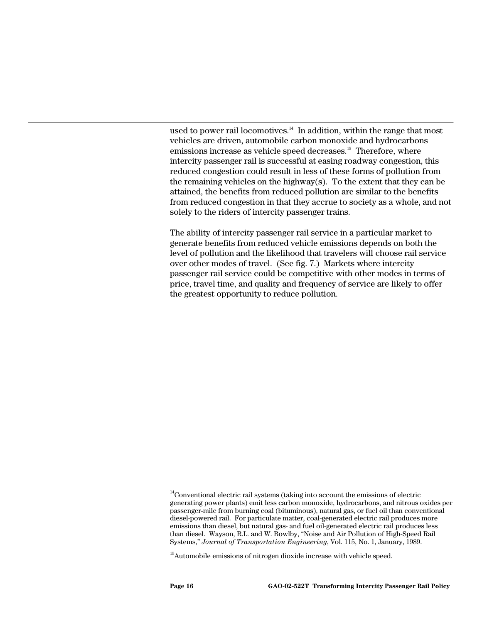used to power rail locomotives. $14$  In addition, within the range that most vehicles are driven, automobile carbon monoxide and hydrocarbons emissions increase as vehicle speed decreases.<sup>15</sup> Therefore, where intercity passenger rail is successful at easing roadway congestion, this reduced congestion could result in less of these forms of pollution from the remaining vehicles on the highway(s). To the extent that they can be attained, the benefits from reduced pollution are similar to the benefits from reduced congestion in that they accrue to society as a whole, and not solely to the riders of intercity passenger trains.

The ability of intercity passenger rail service in a particular market to generate benefits from reduced vehicle emissions depends on both the level of pollution and the likelihood that travelers will choose rail service over other modes of travel. (See fig. 7.) Markets where intercity passenger rail service could be competitive with other modes in terms of price, travel time, and quality and frequency of service are likely to offer the greatest opportunity to reduce pollution.

<sup>&</sup>lt;sup>14</sup>Conventional electric rail systems (taking into account the emissions of electric generating power plants) emit less carbon monoxide, hydrocarbons, and nitrous oxides per passenger-mile from burning coal (bituminous), natural gas, or fuel oil than conventional diesel-powered rail. For particulate matter, coal-generated electric rail produces more emissions than diesel, but natural gas- and fuel oil-generated electric rail produces less than diesel. Wayson, R.L. and W. Bowlby, "Noise and Air Pollution of High-Speed Rail Systems," *Journal of Transportation Engineering*, Vol. 115, No. 1, January, 1989.

<sup>&</sup>lt;sup>15</sup>Automobile emissions of nitrogen dioxide increase with vehicle speed.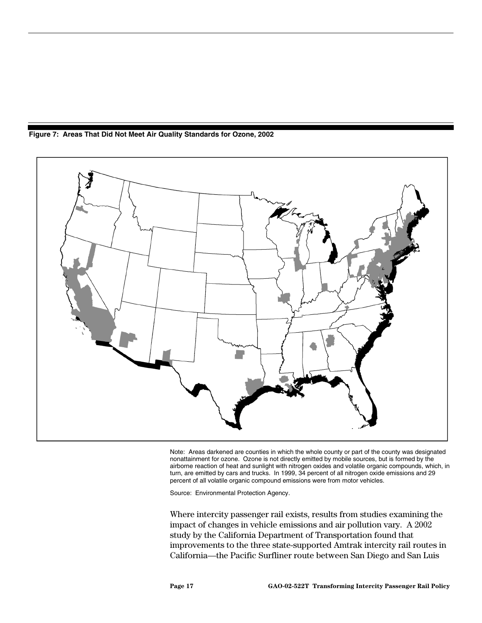

**Figure 7: Areas That Did Not Meet Air Quality Standards for Ozone, 2002**

Note: Areas darkened are counties in which the whole county or part of the county was designated nonattainment for ozone. Ozone is not directly emitted by mobile sources, but is formed by the airborne reaction of heat and sunlight with nitrogen oxides and volatile organic compounds, which, in turn, are emitted by cars and trucks. In 1999, 34 percent of all nitrogen oxide emissions and 29 percent of all volatile organic compound emissions were from motor vehicles.

Source: Environmental Protection Agency.

Where intercity passenger rail exists, results from studies examining the impact of changes in vehicle emissions and air pollution vary. A 2002 study by the California Department of Transportation found that improvements to the three state-supported Amtrak intercity rail routes in California—the Pacific Surfliner route between San Diego and San Luis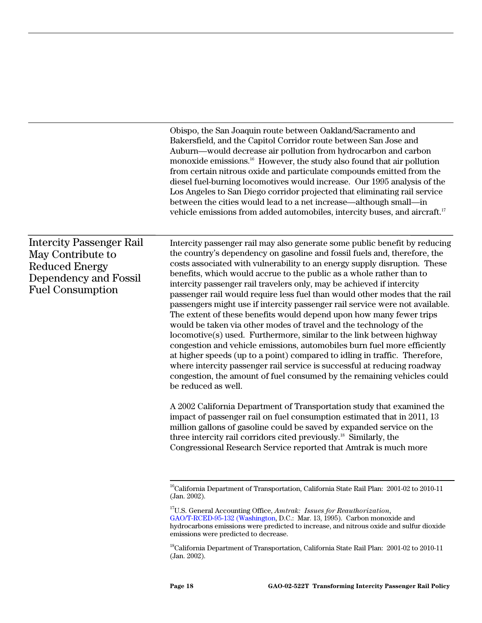Obispo, the San Joaquin route between Oakland/Sacramento and Bakersfield, and the Capitol Corridor route between San Jose and Auburn—would decrease air pollution from hydrocarbon and carbon monoxide emissions.16 However, the study also found that air pollution from certain nitrous oxide and particulate compounds emitted from the diesel fuel-burning locomotives would increase. Our 1995 analysis of the Los Angeles to San Diego corridor projected that eliminating rail service between the cities would lead to a net increase—although small—in vehicle emissions from added automobiles, intercity buses, and aircraft.17

Intercity Passenger Rail May Contribute to Reduced Energy Dependency and Fossil Fuel Consumption

Intercity passenger rail may also generate some public benefit by reducing the country's dependency on gasoline and fossil fuels and, therefore, the costs associated with vulnerability to an energy supply disruption. These benefits, which would accrue to the public as a whole rather than to intercity passenger rail travelers only, may be achieved if intercity passenger rail would require less fuel than would other modes that the rail passengers might use if intercity passenger rail service were not available. The extent of these benefits would depend upon how many fewer trips would be taken via other modes of travel and the technology of the locomotive(s) used. Furthermore, similar to the link between highway congestion and vehicle emissions, automobiles burn fuel more efficiently at higher speeds (up to a point) compared to idling in traffic. Therefore, where intercity passenger rail service is successful at reducing roadway congestion, the amount of fuel consumed by the remaining vehicles could be reduced as well.

A 2002 California Department of Transportation study that examined the impact of passenger rail on fuel consumption estimated that in 2011, 13 million gallons of gasoline could be saved by expanded service on the three intercity rail corridors cited previously.<sup>18</sup> Similarly, the Congressional Research Service reported that Amtrak is much more

<sup>&</sup>lt;sup>16</sup>California Department of Transportation, California State Rail Plan: 2001-02 to 2010-11 (Jan. 2002).

<sup>17</sup>U.S. General Accounting Office, *Amtrak: Issues for Reauthorization*, GAO/T-RCED-95-132 (Washington, D.C.: Mar. 13, 1995). Carbon monoxide and hydrocarbons emissions were predicted to increase, and nitrous oxide and sulfur dioxide emissions were predicted to decrease.

<sup>&</sup>lt;sup>18</sup>California Department of Transportation, California State Rail Plan: 2001-02 to 2010-11 (Jan. 2002).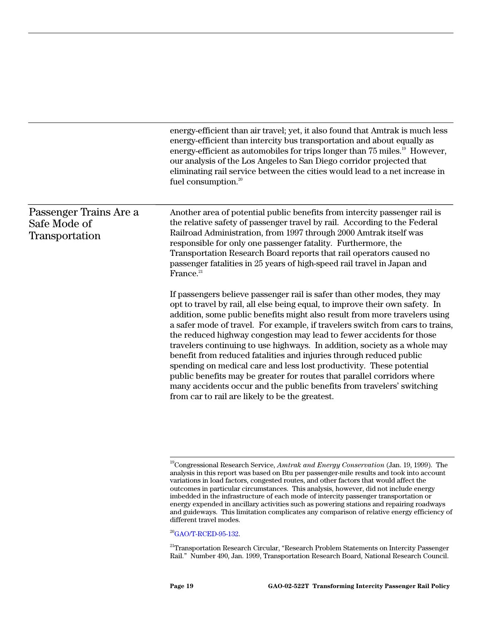|                                                                 | energy-efficient than air travel; yet, it also found that Amtrak is much less<br>energy-efficient than intercity bus transportation and about equally as<br>energy-efficient as automobiles for trips longer than 75 miles. <sup>19</sup> However,<br>our analysis of the Los Angeles to San Diego corridor projected that<br>eliminating rail service between the cities would lead to a net increase in<br>fuel consumption. <sup>20</sup>                                                                                                                                                                                                                                                                                                                                                                                        |
|-----------------------------------------------------------------|-------------------------------------------------------------------------------------------------------------------------------------------------------------------------------------------------------------------------------------------------------------------------------------------------------------------------------------------------------------------------------------------------------------------------------------------------------------------------------------------------------------------------------------------------------------------------------------------------------------------------------------------------------------------------------------------------------------------------------------------------------------------------------------------------------------------------------------|
| Passenger Trains Are a<br>Safe Mode of<br><b>Transportation</b> | Another area of potential public benefits from intercity passenger rail is<br>the relative safety of passenger travel by rail. According to the Federal<br>Railroad Administration, from 1997 through 2000 Amtrak itself was<br>responsible for only one passenger fatality. Furthermore, the<br>Transportation Research Board reports that rail operators caused no<br>passenger fatalities in 25 years of high-speed rail travel in Japan and<br>France. <sup>21</sup>                                                                                                                                                                                                                                                                                                                                                            |
|                                                                 | If passengers believe passenger rail is safer than other modes, they may<br>opt to travel by rail, all else being equal, to improve their own safety. In<br>addition, some public benefits might also result from more travelers using<br>a safer mode of travel. For example, if travelers switch from cars to trains,<br>the reduced highway congestion may lead to fewer accidents for those<br>travelers continuing to use highways. In addition, society as a whole may<br>benefit from reduced fatalities and injuries through reduced public<br>spending on medical care and less lost productivity. These potential<br>public benefits may be greater for routes that parallel corridors where<br>many accidents occur and the public benefits from travelers' switching<br>from car to rail are likely to be the greatest. |
|                                                                 | <sup>19</sup> Congressional Research Service, Amtrak and Energy Conservation (Jan. 19, 1999). The<br>analysis in this report was based on Btu per passenger-mile results and took into account                                                                                                                                                                                                                                                                                                                                                                                                                                                                                                                                                                                                                                      |

analysis in this report was based on Btu per passenger-mile results and took into account variations in load factors, congested routes, and other factors that would affect the outcomes in particular circumstances. This analysis, however, did not include energy imbedded in the infrastructure of each mode of intercity passenger transportation or energy expended in ancillary activities such as powering stations and repairing roadways and guideways. This limitation complicates any comparison of relative energy efficiency of different travel modes.

<sup>20</sup>GAO/T-RCED-95-132.

<sup>21</sup>Transportation Research Circular, "Research Problem Statements on Intercity Passenger Rail." Number 490, Jan. 1999, Transportation Research Board, National Research Council.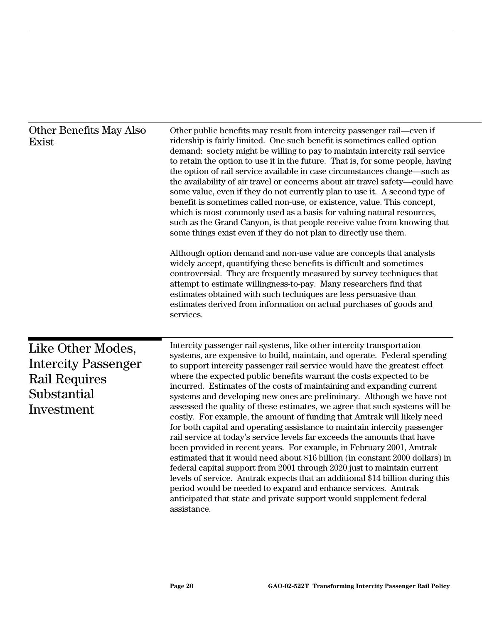| <b>Other Benefits May Also</b><br>Exist                                                              | Other public benefits may result from intercity passenger rail—even if<br>ridership is fairly limited. One such benefit is sometimes called option<br>demand: society might be willing to pay to maintain intercity rail service<br>to retain the option to use it in the future. That is, for some people, having<br>the option of rail service available in case circumstances change—such as<br>the availability of air travel or concerns about air travel safety—could have<br>some value, even if they do not currently plan to use it. A second type of<br>benefit is sometimes called non-use, or existence, value. This concept,<br>which is most commonly used as a basis for valuing natural resources,<br>such as the Grand Canyon, is that people receive value from knowing that<br>some things exist even if they do not plan to directly use them.<br>Although option demand and non-use value are concepts that analysts<br>widely accept, quantifying these benefits is difficult and sometimes<br>controversial. They are frequently measured by survey techniques that<br>attempt to estimate willingness-to-pay. Many researchers find that<br>estimates obtained with such techniques are less persuasive than<br>estimates derived from information on actual purchases of goods and<br>services. |
|------------------------------------------------------------------------------------------------------|--------------------------------------------------------------------------------------------------------------------------------------------------------------------------------------------------------------------------------------------------------------------------------------------------------------------------------------------------------------------------------------------------------------------------------------------------------------------------------------------------------------------------------------------------------------------------------------------------------------------------------------------------------------------------------------------------------------------------------------------------------------------------------------------------------------------------------------------------------------------------------------------------------------------------------------------------------------------------------------------------------------------------------------------------------------------------------------------------------------------------------------------------------------------------------------------------------------------------------------------------------------------------------------------------------------------------|
| Like Other Modes,<br><b>Intercity Passenger</b><br><b>Rail Requires</b><br>Substantial<br>Investment | Intercity passenger rail systems, like other intercity transportation<br>systems, are expensive to build, maintain, and operate. Federal spending<br>to support intercity passenger rail service would have the greatest effect<br>where the expected public benefits warrant the costs expected to be<br>incurred. Estimates of the costs of maintaining and expanding current<br>systems and developing new ones are preliminary. Although we have not<br>assessed the quality of these estimates, we agree that such systems will be<br>costly. For example, the amount of funding that Amtrak will likely need<br>for both capital and operating assistance to maintain intercity passenger<br>rail service at today's service levels far exceeds the amounts that have<br>been provided in recent years. For example, in February 2001, Amtrak<br>estimated that it would need about \$16 billion (in constant 2000 dollars) in<br>federal capital support from 2001 through 2020 just to maintain current<br>levels of service. Amtrak expects that an additional \$14 billion during this<br>period would be needed to expand and enhance services. Amtrak<br>anticipated that state and private support would supplement federal<br>assistance.                                                                  |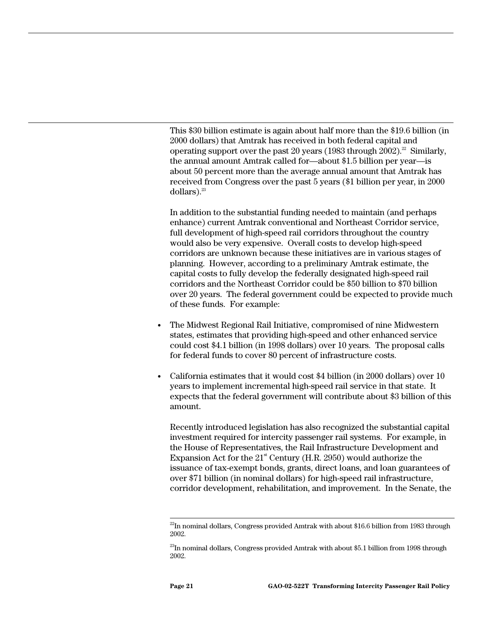This \$30 billion estimate is again about half more than the \$19.6 billion (in 2000 dollars) that Amtrak has received in both federal capital and operating support over the past 20 years (1983 through 2002).<sup>22</sup> Similarly, the annual amount Amtrak called for—about \$1.5 billion per year—is about 50 percent more than the average annual amount that Amtrak has received from Congress over the past 5 years (\$1 billion per year, in 2000 dollars). $23$ 

In addition to the substantial funding needed to maintain (and perhaps enhance) current Amtrak conventional and Northeast Corridor service, full development of high-speed rail corridors throughout the country would also be very expensive. Overall costs to develop high-speed corridors are unknown because these initiatives are in various stages of planning. However, according to a preliminary Amtrak estimate, the capital costs to fully develop the federally designated high-speed rail corridors and the Northeast Corridor could be \$50 billion to \$70 billion over 20 years. The federal government could be expected to provide much of these funds. For example:

- The Midwest Regional Rail Initiative, compromised of nine Midwestern states, estimates that providing high-speed and other enhanced service could cost \$4.1 billion (in 1998 dollars) over 10 years. The proposal calls for federal funds to cover 80 percent of infrastructure costs.
- California estimates that it would cost \$4 billion (in 2000 dollars) over 10 years to implement incremental high-speed rail service in that state. It expects that the federal government will contribute about \$3 billion of this amount.

Recently introduced legislation has also recognized the substantial capital investment required for intercity passenger rail systems. For example, in the House of Representatives, the Rail Infrastructure Development and Expansion Act for the  $21^{\text{st}}$  Century (H.R. 2950) would authorize the issuance of tax-exempt bonds, grants, direct loans, and loan guarantees of over \$71 billion (in nominal dollars) for high-speed rail infrastructure, corridor development, rehabilitation, and improvement. In the Senate, the

 $^{22}$ In nominal dollars, Congress provided Amtrak with about \$16.6 billion from 1983 through 2002.

 $^{23}$ In nominal dollars, Congress provided Amtrak with about \$5.1 billion from 1998 through 2002.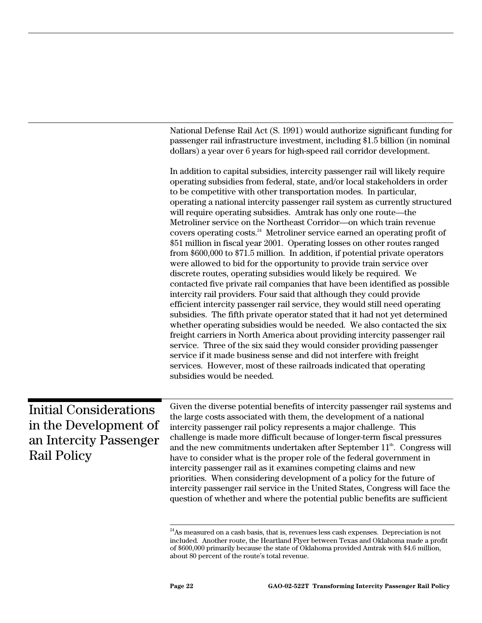|                                                                                                        | National Defense Rail Act (S. 1991) would authorize significant funding for<br>passenger rail infrastructure investment, including \$1.5 billion (in nominal<br>dollars) a year over 6 years for high-speed rail corridor development.                                                                                                                                                                                                                                                                                                                                                                                                                                                                                                                                                                                                                                                                                                                                                                                                                                                                                                                                                                                                                                                                                                                                                                                                                                                                                                                                                                 |
|--------------------------------------------------------------------------------------------------------|--------------------------------------------------------------------------------------------------------------------------------------------------------------------------------------------------------------------------------------------------------------------------------------------------------------------------------------------------------------------------------------------------------------------------------------------------------------------------------------------------------------------------------------------------------------------------------------------------------------------------------------------------------------------------------------------------------------------------------------------------------------------------------------------------------------------------------------------------------------------------------------------------------------------------------------------------------------------------------------------------------------------------------------------------------------------------------------------------------------------------------------------------------------------------------------------------------------------------------------------------------------------------------------------------------------------------------------------------------------------------------------------------------------------------------------------------------------------------------------------------------------------------------------------------------------------------------------------------------|
|                                                                                                        | In addition to capital subsidies, intercity passenger rail will likely require<br>operating subsidies from federal, state, and/or local stakeholders in order<br>to be competitive with other transportation modes. In particular,<br>operating a national intercity passenger rail system as currently structured<br>will require operating subsidies. Amtrak has only one route—the<br>Metroliner service on the Northeast Corridor-on which train revenue<br>covers operating costs. <sup>24</sup> Metroliner service earned an operating profit of<br>\$51 million in fiscal year 2001. Operating losses on other routes ranged<br>from \$600,000 to \$71.5 million. In addition, if potential private operators<br>were allowed to bid for the opportunity to provide train service over<br>discrete routes, operating subsidies would likely be required. We<br>contacted five private rail companies that have been identified as possible<br>intercity rail providers. Four said that although they could provide<br>efficient intercity passenger rail service, they would still need operating<br>subsidies. The fifth private operator stated that it had not yet determined<br>whether operating subsidies would be needed. We also contacted the six<br>freight carriers in North America about providing intercity passenger rail<br>service. Three of the six said they would consider providing passenger<br>service if it made business sense and did not interfere with freight<br>services. However, most of these railroads indicated that operating<br>subsidies would be needed. |
| <b>Initial Considerations</b><br>in the Development of<br>an Intercity Passenger<br><b>Rail Policy</b> | Given the diverse potential benefits of intercity passenger rail systems and<br>the large costs associated with them, the development of a national<br>intercity passenger rail policy represents a major challenge. This<br>challenge is made more difficult because of longer-term fiscal pressures<br>and the new commitments undertaken after September 11 <sup>th</sup> . Congress will<br>have to consider what is the proper role of the federal government in<br>intercity passenger rail as it examines competing claims and new<br>priorities. When considering development of a policy for the future of<br>intercity passenger rail service in the United States, Congress will face the<br>question of whether and where the potential public benefits are sufficient                                                                                                                                                                                                                                                                                                                                                                                                                                                                                                                                                                                                                                                                                                                                                                                                                     |

 $24$ As measured on a cash basis, that is, revenues less cash expenses. Depreciation is not included. Another route, the Heartland Flyer between Texas and Oklahoma made a profit of \$600,000 primarily because the state of Oklahoma provided Amtrak with \$4.6 million, about 80 percent of the route's total revenue.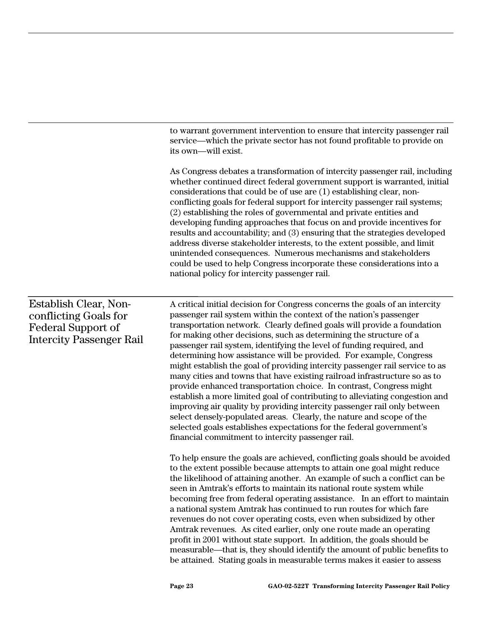to warrant government intervention to ensure that intercity passenger rail service—which the private sector has not found profitable to provide on its own—will exist.

As Congress debates a transformation of intercity passenger rail, including whether continued direct federal government support is warranted, initial considerations that could be of use are (1) establishing clear, nonconflicting goals for federal support for intercity passenger rail systems; (2) establishing the roles of governmental and private entities and developing funding approaches that focus on and provide incentives for results and accountability; and (3) ensuring that the strategies developed address diverse stakeholder interests, to the extent possible, and limit unintended consequences. Numerous mechanisms and stakeholders could be used to help Congress incorporate these considerations into a national policy for intercity passenger rail.

#### Establish Clear, Nonconflicting Goals for Federal Support of Intercity Passenger Rail

A critical initial decision for Congress concerns the goals of an intercity passenger rail system within the context of the nation's passenger transportation network. Clearly defined goals will provide a foundation for making other decisions, such as determining the structure of a passenger rail system, identifying the level of funding required, and determining how assistance will be provided. For example, Congress might establish the goal of providing intercity passenger rail service to as many cities and towns that have existing railroad infrastructure so as to provide enhanced transportation choice. In contrast, Congress might establish a more limited goal of contributing to alleviating congestion and improving air quality by providing intercity passenger rail only between select densely-populated areas. Clearly, the nature and scope of the selected goals establishes expectations for the federal government's financial commitment to intercity passenger rail.

To help ensure the goals are achieved, conflicting goals should be avoided to the extent possible because attempts to attain one goal might reduce the likelihood of attaining another. An example of such a conflict can be seen in Amtrak's efforts to maintain its national route system while becoming free from federal operating assistance. In an effort to maintain a national system Amtrak has continued to run routes for which fare revenues do not cover operating costs, even when subsidized by other Amtrak revenues. As cited earlier, only one route made an operating profit in 2001 without state support. In addition, the goals should be measurable—that is, they should identify the amount of public benefits to be attained. Stating goals in measurable terms makes it easier to assess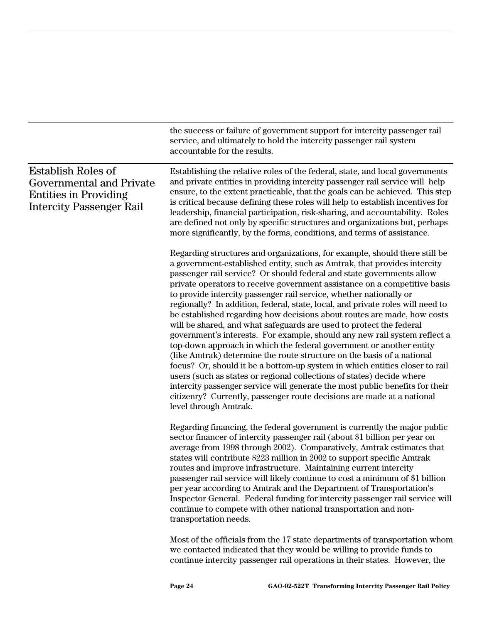the success or failure of government support for intercity passenger rail service, and ultimately to hold the intercity passenger rail system accountable for the results.

| <b>Establish Roles of</b><br>Governmental and Private<br><b>Entities in Providing</b><br><b>Intercity Passenger Rail</b> | Establishing the relative roles of the federal, state, and local governments<br>and private entities in providing intercity passenger rail service will help<br>ensure, to the extent practicable, that the goals can be achieved. This step<br>is critical because defining these roles will help to establish incentives for<br>leadership, financial participation, risk-sharing, and accountability. Roles<br>are defined not only by specific structures and organizations but, perhaps<br>more significantly, by the forms, conditions, and terms of assistance.                                                                                                                                                                                                                                                                                                                                                                                                                                                                                                                                                                                                                          |
|--------------------------------------------------------------------------------------------------------------------------|-------------------------------------------------------------------------------------------------------------------------------------------------------------------------------------------------------------------------------------------------------------------------------------------------------------------------------------------------------------------------------------------------------------------------------------------------------------------------------------------------------------------------------------------------------------------------------------------------------------------------------------------------------------------------------------------------------------------------------------------------------------------------------------------------------------------------------------------------------------------------------------------------------------------------------------------------------------------------------------------------------------------------------------------------------------------------------------------------------------------------------------------------------------------------------------------------|
|                                                                                                                          | Regarding structures and organizations, for example, should there still be<br>a government-established entity, such as Amtrak, that provides intercity<br>passenger rail service? Or should federal and state governments allow<br>private operators to receive government assistance on a competitive basis<br>to provide intercity passenger rail service, whether nationally or<br>regionally? In addition, federal, state, local, and private roles will need to<br>be established regarding how decisions about routes are made, how costs<br>will be shared, and what safeguards are used to protect the federal<br>government's interests. For example, should any new rail system reflect a<br>top-down approach in which the federal government or another entity<br>(like Amtrak) determine the route structure on the basis of a national<br>focus? Or, should it be a bottom-up system in which entities closer to rail<br>users (such as states or regional collections of states) decide where<br>intercity passenger service will generate the most public benefits for their<br>citizenry? Currently, passenger route decisions are made at a national<br>level through Amtrak. |
|                                                                                                                          | Regarding financing, the federal government is currently the major public<br>sector financer of intercity passenger rail (about \$1 billion per year on<br>average from 1998 through 2002). Comparatively, Amtrak estimates that<br>states will contribute \$223 million in 2002 to support specific Amtrak<br>routes and improve infrastructure. Maintaining current intercity<br>passenger rail service will likely continue to cost a minimum of \$1 billion<br>per year according to Amtrak and the Department of Transportation's<br>Inspector General. Federal funding for intercity passenger rail service will<br>continue to compete with other national transportation and non-<br>transportation needs.                                                                                                                                                                                                                                                                                                                                                                                                                                                                              |
|                                                                                                                          | Most of the officials from the 17 state departments of transportation whom<br>we contacted indicated that they would be willing to provide funds to                                                                                                                                                                                                                                                                                                                                                                                                                                                                                                                                                                                                                                                                                                                                                                                                                                                                                                                                                                                                                                             |

continue intercity passenger rail operations in their states. However, the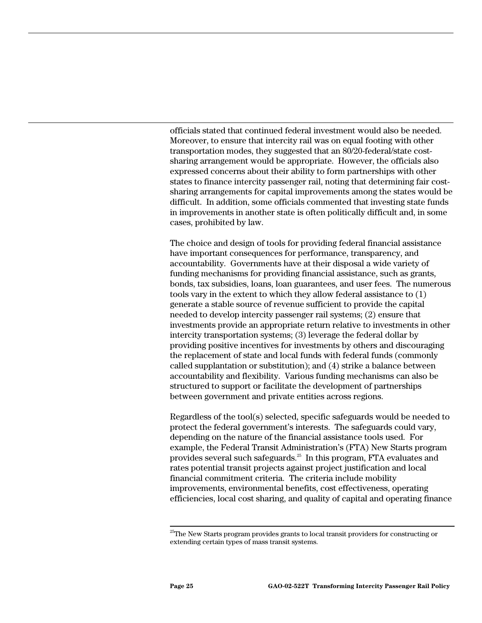officials stated that continued federal investment would also be needed. Moreover, to ensure that intercity rail was on equal footing with other transportation modes, they suggested that an 80/20-federal/state costsharing arrangement would be appropriate. However, the officials also expressed concerns about their ability to form partnerships with other states to finance intercity passenger rail, noting that determining fair costsharing arrangements for capital improvements among the states would be difficult. In addition, some officials commented that investing state funds in improvements in another state is often politically difficult and, in some cases, prohibited by law.

The choice and design of tools for providing federal financial assistance have important consequences for performance, transparency, and accountability. Governments have at their disposal a wide variety of funding mechanisms for providing financial assistance, such as grants, bonds, tax subsidies, loans, loan guarantees, and user fees. The numerous tools vary in the extent to which they allow federal assistance to (1) generate a stable source of revenue sufficient to provide the capital needed to develop intercity passenger rail systems; (2) ensure that investments provide an appropriate return relative to investments in other intercity transportation systems; (3) leverage the federal dollar by providing positive incentives for investments by others and discouraging the replacement of state and local funds with federal funds (commonly called supplantation or substitution); and (4) strike a balance between accountability and flexibility. Various funding mechanisms can also be structured to support or facilitate the development of partnerships between government and private entities across regions.

Regardless of the tool(s) selected, specific safeguards would be needed to protect the federal government's interests. The safeguards could vary, depending on the nature of the financial assistance tools used. For example, the Federal Transit Administration's (FTA) New Starts program provides several such safeguards.25 In this program, FTA evaluates and rates potential transit projects against project justification and local financial commitment criteria. The criteria include mobility improvements, environmental benefits, cost effectiveness, operating efficiencies, local cost sharing, and quality of capital and operating finance

 $25$ The New Starts program provides grants to local transit providers for constructing or extending certain types of mass transit systems.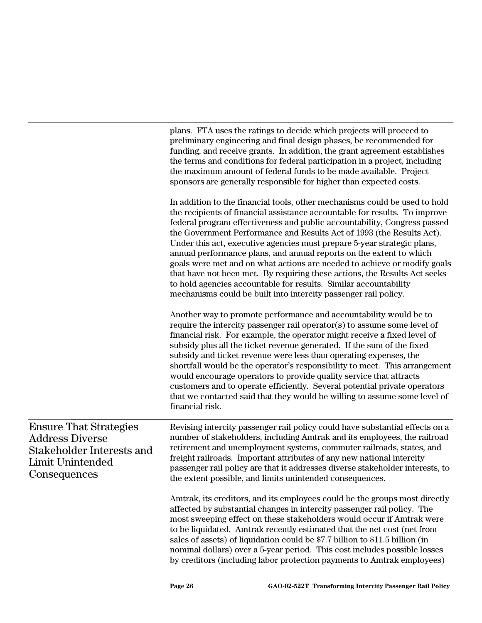|                                                                                                                          | plans. FTA uses the ratings to decide which projects will proceed to<br>preliminary engineering and final design phases, be recommended for<br>funding, and receive grants. In addition, the grant agreement establishes<br>the terms and conditions for federal participation in a project, including<br>the maximum amount of federal funds to be made available. Project<br>sponsors are generally responsible for higher than expected costs.                                                                                                                                                                                                                                                                                                               |
|--------------------------------------------------------------------------------------------------------------------------|-----------------------------------------------------------------------------------------------------------------------------------------------------------------------------------------------------------------------------------------------------------------------------------------------------------------------------------------------------------------------------------------------------------------------------------------------------------------------------------------------------------------------------------------------------------------------------------------------------------------------------------------------------------------------------------------------------------------------------------------------------------------|
|                                                                                                                          | In addition to the financial tools, other mechanisms could be used to hold<br>the recipients of financial assistance accountable for results. To improve<br>federal program effectiveness and public accountability, Congress passed<br>the Government Performance and Results Act of 1993 (the Results Act).<br>Under this act, executive agencies must prepare 5-year strategic plans,<br>annual performance plans, and annual reports on the extent to which<br>goals were met and on what actions are needed to achieve or modify goals<br>that have not been met. By requiring these actions, the Results Act seeks<br>to hold agencies accountable for results. Similar accountability<br>mechanisms could be built into intercity passenger rail policy. |
|                                                                                                                          | Another way to promote performance and accountability would be to<br>require the intercity passenger rail operator(s) to assume some level of<br>financial risk. For example, the operator might receive a fixed level of<br>subsidy plus all the ticket revenue generated. If the sum of the fixed<br>subsidy and ticket revenue were less than operating expenses, the<br>shortfall would be the operator's responsibility to meet. This arrangement<br>would encourage operators to provide quality service that attracts<br>customers and to operate efficiently. Several potential private operators<br>that we contacted said that they would be willing to assume some level of<br>financial risk.                                                       |
| <b>Ensure That Strategies</b><br><b>Address Diverse</b><br>Stakeholder Interests and<br>Limit Unintended<br>Consequences | Revising intercity passenger rail policy could have substantial effects on a<br>number of stakeholders, including Amtrak and its employees, the railroad<br>retirement and unemployment systems, commuter railroads, states, and<br>freight railroads. Important attributes of any new national intercity<br>passenger rail policy are that it addresses diverse stakeholder interests, to<br>the extent possible, and limits unintended consequences.                                                                                                                                                                                                                                                                                                          |
|                                                                                                                          | Amtrak, its creditors, and its employees could be the groups most directly<br>affected by substantial changes in intercity passenger rail policy. The<br>most sweeping effect on these stakeholders would occur if Amtrak were<br>to be liquidated. Amtrak recently estimated that the net cost (net from<br>sales of assets) of liquidation could be \$7.7 billion to \$11.5 billion (in<br>nominal dollars) over a 5-year period. This cost includes possible losses<br>by creditors (including labor protection payments to Amtrak employees)                                                                                                                                                                                                                |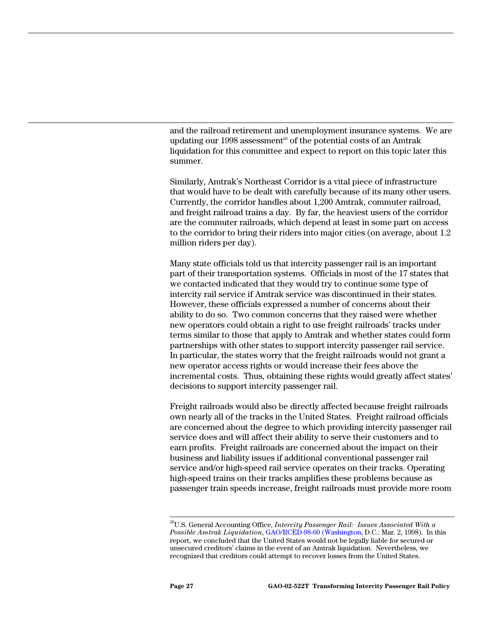and the railroad retirement and unemployment insurance systems. We are updating our 1998 assessment<sup>26</sup> of the potential costs of an Amtrak liquidation for this committee and expect to report on this topic later this summer.

Similarly, Amtrak's Northeast Corridor is a vital piece of infrastructure that would have to be dealt with carefully because of its many other users. Currently, the corridor handles about 1,200 Amtrak, commuter railroad, and freight railroad trains a day. By far, the heaviest users of the corridor are the commuter railroads, which depend at least in some part on access to the corridor to bring their riders into major cities (on average, about 1.2 million riders per day).

Many state officials told us that intercity passenger rail is an important part of their transportation systems. Officials in most of the 17 states that we contacted indicated that they would try to continue some type of intercity rail service if Amtrak service was discontinued in their states. However, these officials expressed a number of concerns about their ability to do so. Two common concerns that they raised were whether new operators could obtain a right to use freight railroads' tracks under terms similar to those that apply to Amtrak and whether states could form partnerships with other states to support intercity passenger rail service. In particular, the states worry that the freight railroads would not grant a new operator access rights or would increase their fees above the incremental costs. Thus, obtaining these rights would greatly affect states' decisions to support intercity passenger rail.

Freight railroads would also be directly affected because freight railroads own nearly all of the tracks in the United States. Freight railroad officials are concerned about the degree to which providing intercity passenger rail service does and will affect their ability to serve their customers and to earn profits. Freight railroads are concerned about the impact on their business and liability issues if additional conventional passenger rail service and/or high-speed rail service operates on their tracks. Operating high-speed trains on their tracks amplifies these problems because as passenger train speeds increase, freight railroads must provide more room

 <sup>26</sup>U.S. General Accounting Office, *Intercity Passenger Rail: Issues Associated With a Possible Amtrak Liquidation*, GAO/RCED-98-60 (Washington, D.C.: Mar. 2, 1998). In this report, we concluded that the United States would not be legally liable for secured or unsecured creditors' claims in the event of an Amtrak liquidation. Nevertheless, we recognized that creditors could attempt to recover losses from the United States.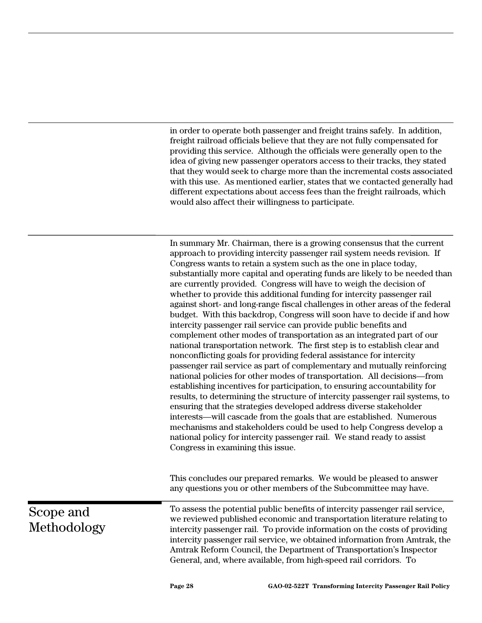in order to operate both passenger and freight trains safely. In addition, freight railroad officials believe that they are not fully compensated for providing this service. Although the officials were generally open to the idea of giving new passenger operators access to their tracks, they stated that they would seek to charge more than the incremental costs associated with this use. As mentioned earlier, states that we contacted generally had different expectations about access fees than the freight railroads, which would also affect their willingness to participate.

In summary Mr. Chairman, there is a growing consensus that the current approach to providing intercity passenger rail system needs revision. If Congress wants to retain a system such as the one in place today, substantially more capital and operating funds are likely to be needed than are currently provided. Congress will have to weigh the decision of whether to provide this additional funding for intercity passenger rail against short- and long-range fiscal challenges in other areas of the federal budget. With this backdrop, Congress will soon have to decide if and how intercity passenger rail service can provide public benefits and complement other modes of transportation as an integrated part of our national transportation network. The first step is to establish clear and nonconflicting goals for providing federal assistance for intercity passenger rail service as part of complementary and mutually reinforcing national policies for other modes of transportation. All decisions—from establishing incentives for participation, to ensuring accountability for results, to determining the structure of intercity passenger rail systems, to ensuring that the strategies developed address diverse stakeholder interests—will cascade from the goals that are established. Numerous mechanisms and stakeholders could be used to help Congress develop a national policy for intercity passenger rail. We stand ready to assist Congress in examining this issue.

This concludes our prepared remarks. We would be pleased to answer any questions you or other members of the Subcommittee may have.

Scope and Methodology

To assess the potential public benefits of intercity passenger rail service, we reviewed published economic and transportation literature relating to intercity passenger rail. To provide information on the costs of providing intercity passenger rail service, we obtained information from Amtrak, the Amtrak Reform Council, the Department of Transportation's Inspector General, and, where available, from high-speed rail corridors. To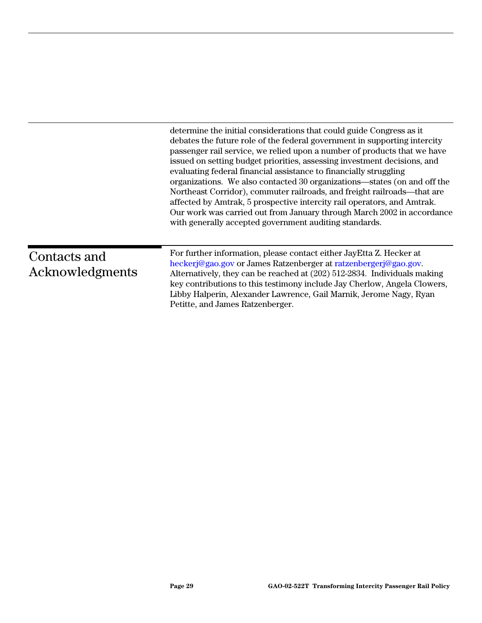|                                 | determine the initial considerations that could guide Congress as it<br>debates the future role of the federal government in supporting intercity<br>passenger rail service, we relied upon a number of products that we have<br>issued on setting budget priorities, assessing investment decisions, and<br>evaluating federal financial assistance to financially struggling<br>organizations. We also contacted 30 organizations—states (on and off the<br>Northeast Corridor), commuter railroads, and freight railroads—that are<br>affected by Amtrak, 5 prospective intercity rail operators, and Amtrak.<br>Our work was carried out from January through March 2002 in accordance<br>with generally accepted government auditing standards. |
|---------------------------------|------------------------------------------------------------------------------------------------------------------------------------------------------------------------------------------------------------------------------------------------------------------------------------------------------------------------------------------------------------------------------------------------------------------------------------------------------------------------------------------------------------------------------------------------------------------------------------------------------------------------------------------------------------------------------------------------------------------------------------------------------|
| Contacts and<br>Acknowledgments | For further information, please contact either JayEtta Z. Hecker at<br>heckerj@gao.gov or James Ratzenberger at ratzenbergerj@gao.gov.<br>Alternatively, they can be reached at (202) 512-2834. Individuals making<br>key contributions to this testimony include Jay Cherlow, Angela Clowers,<br>Libby Halperin, Alexander Lawrence, Gail Marnik, Jerome Nagy, Ryan<br>Petitte, and James Ratzenberger.                                                                                                                                                                                                                                                                                                                                             |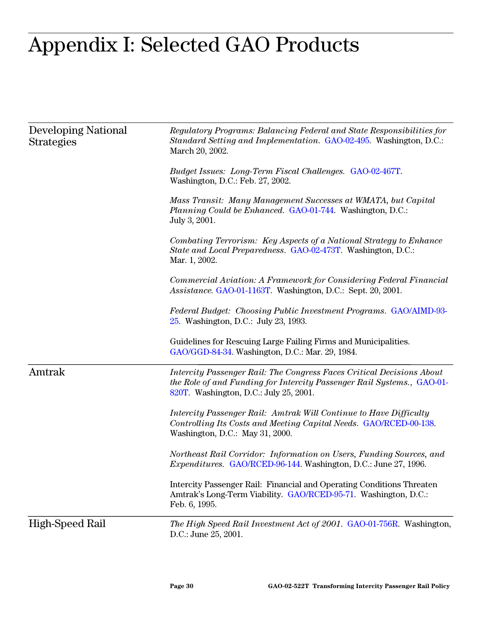## Appendix I: Selected GAO Products

| <b>Developing National</b><br><b>Strategies</b> | Regulatory Programs: Balancing Federal and State Responsibilities for<br>Standard Setting and Implementation. GAO-02-495. Washington, D.C.:<br>March 20, 2002.                            |
|-------------------------------------------------|-------------------------------------------------------------------------------------------------------------------------------------------------------------------------------------------|
|                                                 | Budget Issues: Long-Term Fiscal Challenges. GAO-02-467T.<br>Washington, D.C.: Feb. 27, 2002.                                                                                              |
|                                                 | Mass Transit: Many Management Successes at WMATA, but Capital<br><i>Planning Could be Enhanced. GAO-01-744.</i> Washington, D.C.:<br>July 3, 2001.                                        |
|                                                 | Combating Terrorism: Key Aspects of a National Strategy to Enhance<br>State and Local Preparedness. GAO-02-473T. Washington, D.C.:<br>Mar. 1, 2002.                                       |
|                                                 | Commercial Aviation: A Framework for Considering Federal Financial<br>Assistance. GAO-01-1163T. Washington, D.C.: Sept. 20, 2001.                                                         |
|                                                 | Federal Budget: Choosing Public Investment Programs. GAO/AIMD-93-<br>25. Washington, D.C.: July 23, 1993.                                                                                 |
|                                                 | Guidelines for Rescuing Large Failing Firms and Municipalities.<br>GAO/GGD-84-34. Washington, D.C.: Mar. 29, 1984.                                                                        |
| Amtrak                                          | Intercity Passenger Rail: The Congress Faces Critical Decisions About<br>the Role of and Funding for Intercity Passenger Rail Systems., GAO-01-<br>820T. Washington, D.C.: July 25, 2001. |
|                                                 | Intercity Passenger Rail: Amtrak Will Continue to Have Difficulty<br>Controlling Its Costs and Meeting Capital Needs. GAO/RCED-00-138.<br>Washington, D.C.: May 31, 2000.                 |
|                                                 | Northeast Rail Corridor: Information on Users, Funding Sources, and<br><i>Expenditures.</i> GAO/RCED-96-144. Washington, D.C.: June 27, 1996.                                             |
|                                                 | Intercity Passenger Rail: Financial and Operating Conditions Threaten<br>Amtrak's Long-Term Viability. GAO/RCED-95-71. Washington, D.C.:<br>Feb. 6, 1995.                                 |
| <b>High-Speed Rail</b>                          | The High Speed Rail Investment Act of 2001. GAO-01-756R. Washington,<br>D.C.: June 25, 2001.                                                                                              |